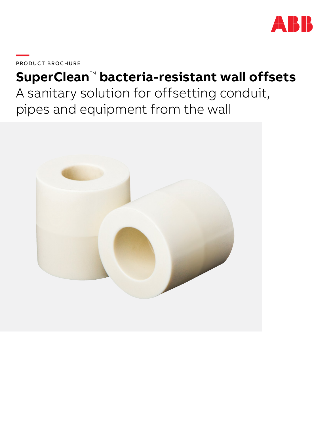

**—**PRODUC T BROCHURE

# **SuperClean**™ **bacteria-resistant wall offsets** A sanitary solution for offsetting conduit, pipes and equipment from the wall